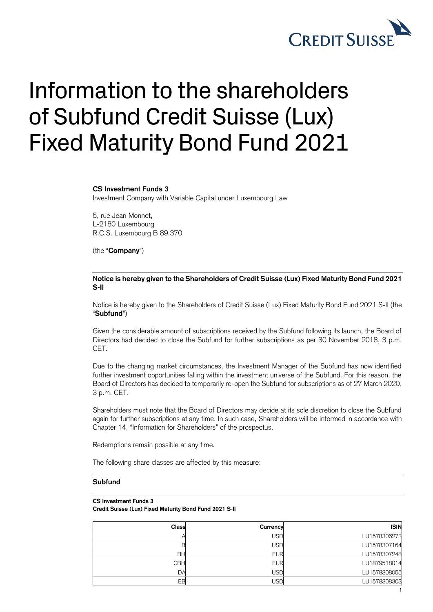

# Information to the shareholders of Subfund Credit Suisse (Lux) Fixed Maturity Bond Fund 2021

## **CS Investment Funds 3**

Investment Company with Variable Capital under Luxembourg Law

5, rue Jean Monnet, L-2180 Luxembourg R.C.S. Luxembourg B 89.370

(the "**Company**")

#### **Notice is hereby given to the Shareholders of Credit Suisse (Lux) Fixed Maturity Bond Fund 2021 S-II**

Notice is hereby given to the Shareholders of Credit Suisse (Lux) Fixed Maturity Bond Fund 2021 S-II (the "**Subfund**")

Given the considerable amount of subscriptions received by the Subfund following its launch, the Board of Directors had decided to close the Subfund for further subscriptions as per 30 November 2018, 3 p.m. CET.

Due to the changing market circumstances, the Investment Manager of the Subfund has now identified further investment opportunities falling within the investment universe of the Subfund. For this reason, the Board of Directors has decided to temporarily re-open the Subfund for subscriptions as of 27 March 2020, 3 p.m. CET.

Shareholders must note that the Board of Directors may decide at its sole discretion to close the Subfund again for further subscriptions at any time. In such case, Shareholders will be informed in accordance with Chapter 14, "Information for Shareholders" of the prospectus.

Redemptions remain possible at any time.

The following share classes are affected by this measure:

### **Subfund**

#### **CS Investment Funds 3**

**Credit Suisse (Lux) Fixed Maturity Bond Fund 2021 S-II**

| Class     | Currency   | <b>ISIN</b>  |
|-----------|------------|--------------|
|           | USD        | LU1578306273 |
|           | USD        | LU1578307164 |
| <b>BH</b> | <b>EUR</b> | LU1578307248 |
| CBH       | <b>EUR</b> | LU1879518014 |
| <b>DA</b> | <b>USD</b> | LU1578308055 |
| FR        | USD        | LU1578308303 |